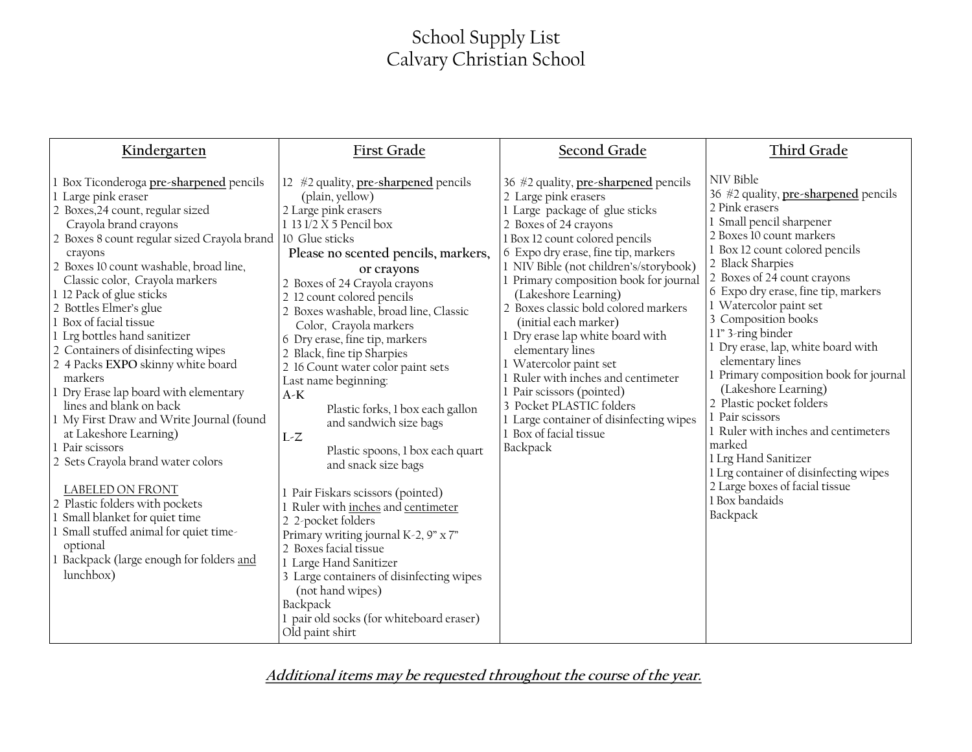## School Supply List Calvary Christian School

| Kindergarten                                                                                                                                                                                                                                                                                                                                                                                                                                                                                                                                                                                                                                                                                                                                                                                                                                                                                | First Grade                                                                                                                                                                                                                                                                                                                                                                                                                                                                                                                                                                                                                                                                                                                                                                                                                                                                                                        | Second Grade                                                                                                                                                                                                                                                                                                                                                                                                                                                                                                                                                                                                                                    | Third Grade                                                                                                                                                                                                                                                                                                                                                                                                                                                                                                                                                                                                                                                                              |
|---------------------------------------------------------------------------------------------------------------------------------------------------------------------------------------------------------------------------------------------------------------------------------------------------------------------------------------------------------------------------------------------------------------------------------------------------------------------------------------------------------------------------------------------------------------------------------------------------------------------------------------------------------------------------------------------------------------------------------------------------------------------------------------------------------------------------------------------------------------------------------------------|--------------------------------------------------------------------------------------------------------------------------------------------------------------------------------------------------------------------------------------------------------------------------------------------------------------------------------------------------------------------------------------------------------------------------------------------------------------------------------------------------------------------------------------------------------------------------------------------------------------------------------------------------------------------------------------------------------------------------------------------------------------------------------------------------------------------------------------------------------------------------------------------------------------------|-------------------------------------------------------------------------------------------------------------------------------------------------------------------------------------------------------------------------------------------------------------------------------------------------------------------------------------------------------------------------------------------------------------------------------------------------------------------------------------------------------------------------------------------------------------------------------------------------------------------------------------------------|------------------------------------------------------------------------------------------------------------------------------------------------------------------------------------------------------------------------------------------------------------------------------------------------------------------------------------------------------------------------------------------------------------------------------------------------------------------------------------------------------------------------------------------------------------------------------------------------------------------------------------------------------------------------------------------|
| 1 Box Ticonderoga pre-sharpened pencils<br>1 Large pink eraser<br>2 Boxes, 24 count, regular sized<br>Crayola brand crayons<br>2 Boxes 8 count regular sized Crayola brand 10 Glue sticks<br>crayons<br>2 Boxes 10 count washable, broad line,<br>Classic color, Crayola markers<br>1 12 Pack of glue sticks<br>2 Bottles Elmer's glue<br>1 Box of facial tissue<br>1 Lrg bottles hand sanitizer<br>2 Containers of disinfecting wipes<br>2 4 Packs EXPO skinny white board<br>markers<br>1 Dry Erase lap board with elementary<br>lines and blank on back<br>1 My First Draw and Write Journal (found<br>at Lakeshore Learning)<br>1 Pair scissors<br>2 Sets Crayola brand water colors<br>LABELED ON FRONT<br>2 Plastic folders with pockets<br>Small blanket for quiet time<br>Small stuffed animal for quiet time-<br>optional<br>1 Backpack (large enough for folders and<br>lunchbox) | 12 $#2$ quality, pre-sharpened pencils<br>(plain, yellow)<br>2 Large pink erasers<br>1 13 1/2 X 5 Pencil box<br>Please no scented pencils, markers,<br>or crayons<br>2 Boxes of 24 Crayola crayons<br>2 12 count colored pencils<br>2 Boxes washable, broad line, Classic<br>Color, Crayola markers<br>6 Dry erase, fine tip, markers<br>2 Black, fine tip Sharpies<br>2 16 Count water color paint sets<br>Last name beginning:<br>$A-K$<br>Plastic forks, 1 box each gallon<br>and sandwich size bags<br>$L-Z$<br>Plastic spoons, 1 box each quart<br>and snack size bags<br>1 Pair Fiskars scissors (pointed)<br>1 Ruler with inches and centimeter<br>2 2-pocket folders<br>Primary writing journal K-2, 9" x 7"<br>2 Boxes facial tissue<br>1 Large Hand Sanitizer<br>3 Large containers of disinfecting wipes<br>(not hand wipes)<br>Backpack<br>1 pair old socks (for whiteboard eraser)<br>Old paint shirt | 36 #2 quality, pre-sharpened pencils<br>2 Large pink erasers<br>1 Large package of glue sticks<br>2 Boxes of 24 crayons<br>1 Box 12 count colored pencils<br>6 Expo dry erase, fine tip, markers<br>1 NIV Bible (not children's/storybook)<br>1 Primary composition book for journal<br>(Lakeshore Learning)<br>2 Boxes classic bold colored markers<br>(initial each marker)<br>1 Dry erase lap white board with<br>elementary lines<br>1 Watercolor paint set<br>1 Ruler with inches and centimeter<br>1 Pair scissors (pointed)<br>3 Pocket PLASTIC folders<br>1 Large container of disinfecting wipes<br>1 Box of facial tissue<br>Backpack | NIV Bible<br>36 #2 quality, pre-sharpened pencils<br>2 Pink erasers<br>1 Small pencil sharpener<br>2 Boxes 10 count markers<br>1 Box 12 count colored pencils<br>2 Black Sharpies<br>2 Boxes of 24 count crayons<br>6 Expo dry erase, fine tip, markers<br>1 Watercolor paint set<br>3 Composition books<br>11" 3-ring binder<br>1 Dry erase, lap, white board with<br>elementary lines<br>Primary composition book for journal<br>(Lakeshore Learning)<br>2 Plastic pocket folders<br>1 Pair scissors<br>1 Ruler with inches and centimeters<br>marked<br>1 Lrg Hand Sanitizer<br>1 Lrg container of disinfecting wipes<br>2 Large boxes of facial tissue<br>1 Box bandaids<br>Backpack |

**Additional items may be requested throughout the course of the year.**